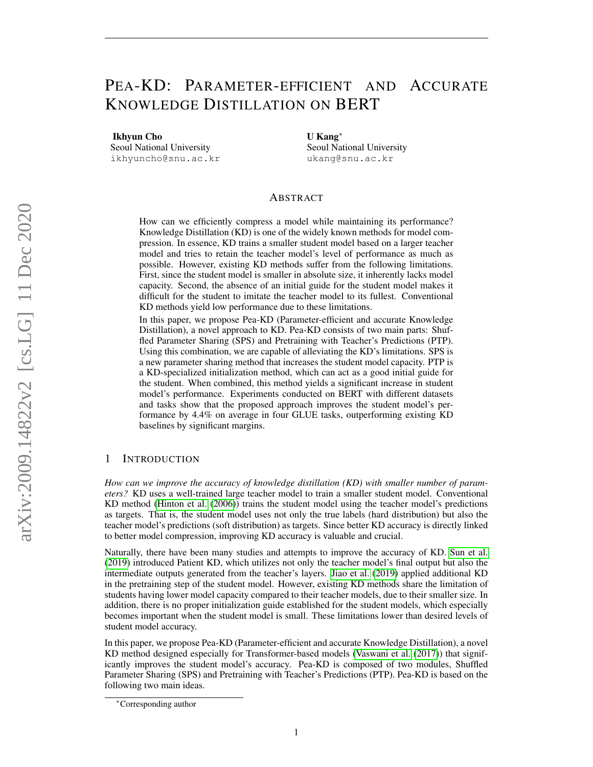# PEA-KD: PARAMETER-EFFICIENT AND ACCURATE KNOWLEDGE DISTILLATION ON BERT

Ikhyun Cho Seoul National University

ikhyuncho@snu.ac.kr

U Kang<sup>∗</sup> Seoul National University ukang@snu.ac.kr

# ABSTRACT

How can we efficiently compress a model while maintaining its performance? Knowledge Distillation (KD) is one of the widely known methods for model compression. In essence, KD trains a smaller student model based on a larger teacher model and tries to retain the teacher model's level of performance as much as possible. However, existing KD methods suffer from the following limitations. First, since the student model is smaller in absolute size, it inherently lacks model capacity. Second, the absence of an initial guide for the student model makes it difficult for the student to imitate the teacher model to its fullest. Conventional KD methods yield low performance due to these limitations.

In this paper, we propose Pea-KD (Parameter-efficient and accurate Knowledge Distillation), a novel approach to KD. Pea-KD consists of two main parts: Shuffled Parameter Sharing (SPS) and Pretraining with Teacher's Predictions (PTP). Using this combination, we are capable of alleviating the KD's limitations. SPS is a new parameter sharing method that increases the student model capacity. PTP is a KD-specialized initialization method, which can act as a good initial guide for the student. When combined, this method yields a significant increase in student model's performance. Experiments conducted on BERT with different datasets and tasks show that the proposed approach improves the student model's performance by 4.4% on average in four GLUE tasks, outperforming existing KD baselines by significant margins.

# <span id="page-0-0"></span>1 INTRODUCTION

*How can we improve the accuracy of knowledge distillation (KD) with smaller number of parameters?* KD uses a well-trained large teacher model to train a smaller student model. Conventional KD method [\(Hinton et al.](#page-8-0) [\(2006\)](#page-8-0)) trains the student model using the teacher model's predictions as targets. That is, the student model uses not only the true labels (hard distribution) but also the teacher model's predictions (soft distribution) as targets. Since better KD accuracy is directly linked to better model compression, improving KD accuracy is valuable and crucial.

Naturally, there have been many studies and attempts to improve the accuracy of KD. [Sun et al.](#page-9-0) [\(2019\)](#page-9-0) introduced Patient KD, which utilizes not only the teacher model's final output but also the intermediate outputs generated from the teacher's layers. [Jiao et al.](#page-8-1) [\(2019\)](#page-8-1) applied additional KD in the pretraining step of the student model. However, existing KD methods share the limitation of students having lower model capacity compared to their teacher models, due to their smaller size. In addition, there is no proper initialization guide established for the student models, which especially becomes important when the student model is small. These limitations lower than desired levels of student model accuracy.

In this paper, we propose Pea-KD (Parameter-efficient and accurate Knowledge Distillation), a novel KD method designed especially for Transformer-based models [\(Vaswani et al.](#page-9-1) [\(2017\)](#page-9-1)) that significantly improves the student model's accuracy. Pea-KD is composed of two modules, Shuffled Parameter Sharing (SPS) and Pretraining with Teacher's Predictions (PTP). Pea-KD is based on the following two main ideas.

<sup>∗</sup>Corresponding author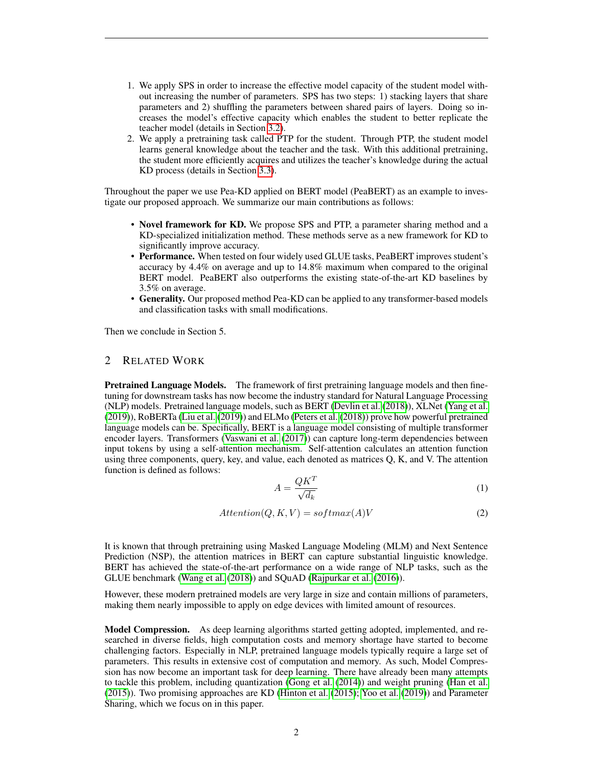- 1. We apply SPS in order to increase the effective model capacity of the student model without increasing the number of parameters. SPS has two steps: 1) stacking layers that share parameters and 2) shuffling the parameters between shared pairs of layers. Doing so increases the model's effective capacity which enables the student to better replicate the teacher model (details in Section [3.2\)](#page-3-0).
- 2. We apply a pretraining task called PTP for the student. Through PTP, the student model learns general knowledge about the teacher and the task. With this additional pretraining, the student more efficiently acquires and utilizes the teacher's knowledge during the actual KD process (details in Section [3.3\)](#page-3-1).

Throughout the paper we use Pea-KD applied on BERT model (PeaBERT) as an example to investigate our proposed approach. We summarize our main contributions as follows:

- Novel framework for KD. We propose SPS and PTP, a parameter sharing method and a KD-specialized initialization method. These methods serve as a new framework for KD to significantly improve accuracy.
- Performance. When tested on four widely used GLUE tasks, PeaBERT improves student's accuracy by 4.4% on average and up to 14.8% maximum when compared to the original BERT model. PeaBERT also outperforms the existing state-of-the-art KD baselines by 3.5% on average.
- Generality. Our proposed method Pea-KD can be applied to any transformer-based models and classification tasks with small modifications.

Then we conclude in Section 5.

## 2 RELATED WORK

Pretrained Language Models. The framework of first pretraining language models and then finetuning for downstream tasks has now become the industry standard for Natural Language Processing (NLP) models. Pretrained language models, such as BERT [\(Devlin et al.](#page-8-2) [\(2018\)](#page-8-2)), XLNet [\(Yang et al.](#page-9-2) [\(2019\)](#page-9-2)), RoBERTa [\(Liu et al.](#page-8-3) [\(2019\)](#page-8-3)) and ELMo [\(Peters et al.](#page-8-4) [\(2018\)](#page-8-4)) prove how powerful pretrained language models can be. Specifically, BERT is a language model consisting of multiple transformer encoder layers. Transformers [\(Vaswani et al.](#page-9-1) [\(2017\)](#page-9-1)) can capture long-term dependencies between input tokens by using a self-attention mechanism. Self-attention calculates an attention function using three components, query, key, and value, each denoted as matrices Q, K, and V. The attention function is defined as follows:

$$
A = \frac{QK^T}{\sqrt{d_k}}\tag{1}
$$

$$
Attention(Q, K, V) = softmax(A)V
$$
\n(2)

It is known that through pretraining using Masked Language Modeling (MLM) and Next Sentence Prediction (NSP), the attention matrices in BERT can capture substantial linguistic knowledge. BERT has achieved the state-of-the-art performance on a wide range of NLP tasks, such as the GLUE benchmark [\(Wang et al.](#page-9-3) [\(2018\)](#page-9-3)) and SQuAD [\(Rajpurkar et al.](#page-8-5) [\(2016\)](#page-8-5)).

However, these modern pretrained models are very large in size and contain millions of parameters, making them nearly impossible to apply on edge devices with limited amount of resources.

Model Compression. As deep learning algorithms started getting adopted, implemented, and researched in diverse fields, high computation costs and memory shortage have started to become challenging factors. Especially in NLP, pretrained language models typically require a large set of parameters. This results in extensive cost of computation and memory. As such, Model Compression has now become an important task for deep learning. There have already been many attempts to tackle this problem, including quantization [\(Gong et al.](#page-8-6) [\(2014\)](#page-8-6)) and weight pruning [\(Han et al.](#page-8-7) [\(2015\)](#page-8-7)). Two promising approaches are KD [\(Hinton et al.](#page-8-8) [\(2015\)](#page-8-8); [Yoo et al.](#page-9-4) [\(2019\)](#page-9-4)) and Parameter Sharing, which we focus on in this paper.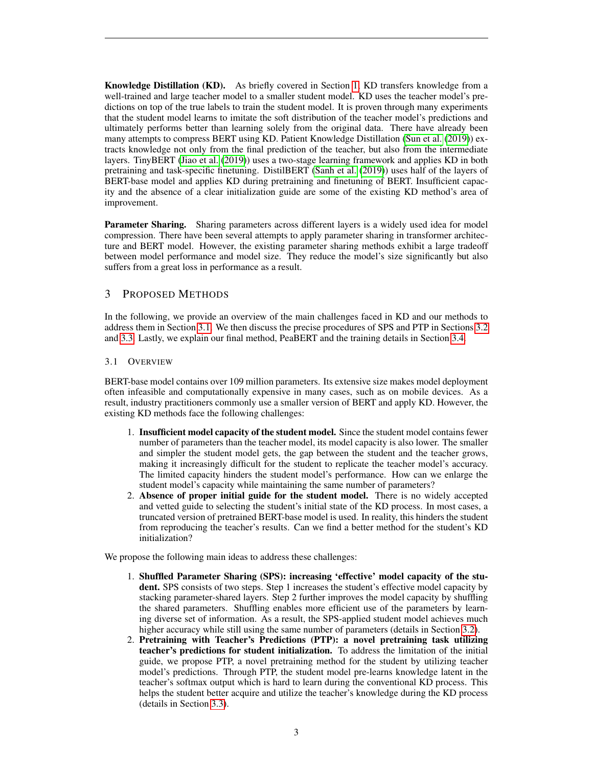Knowledge Distillation (KD). As briefly covered in Section [1,](#page-0-0) KD transfers knowledge from a well-trained and large teacher model to a smaller student model. KD uses the teacher model's predictions on top of the true labels to train the student model. It is proven through many experiments that the student model learns to imitate the soft distribution of the teacher model's predictions and ultimately performs better than learning solely from the original data. There have already been many attempts to compress BERT using KD. Patient Knowledge Distillation [\(Sun et al.](#page-9-0) [\(2019\)](#page-9-0)) extracts knowledge not only from the final prediction of the teacher, but also from the intermediate layers. TinyBERT [\(Jiao et al.](#page-8-1) [\(2019\)](#page-8-1)) uses a two-stage learning framework and applies KD in both pretraining and task-specific finetuning. DistilBERT [\(Sanh et al.](#page-8-9) [\(2019\)](#page-8-9)) uses half of the layers of BERT-base model and applies KD during pretraining and finetuning of BERT. Insufficient capacity and the absence of a clear initialization guide are some of the existing KD method's area of improvement.

**Parameter Sharing.** Sharing parameters across different layers is a widely used idea for model compression. There have been several attempts to apply parameter sharing in transformer architecture and BERT model. However, the existing parameter sharing methods exhibit a large tradeoff between model performance and model size. They reduce the model's size significantly but also suffers from a great loss in performance as a result.

# 3 PROPOSED METHODS

In the following, we provide an overview of the main challenges faced in KD and our methods to address them in Section [3.1.](#page-2-0) We then discuss the precise procedures of SPS and PTP in Sections [3.2](#page-3-0) and [3.3.](#page-3-1) Lastly, we explain our final method, PeaBERT and the training details in Section [3.4.](#page-4-0)

# <span id="page-2-0"></span>3.1 OVERVIEW

BERT-base model contains over 109 million parameters. Its extensive size makes model deployment often infeasible and computationally expensive in many cases, such as on mobile devices. As a result, industry practitioners commonly use a smaller version of BERT and apply KD. However, the existing KD methods face the following challenges:

- 1. Insufficient model capacity of the student model. Since the student model contains fewer number of parameters than the teacher model, its model capacity is also lower. The smaller and simpler the student model gets, the gap between the student and the teacher grows, making it increasingly difficult for the student to replicate the teacher model's accuracy. The limited capacity hinders the student model's performance. How can we enlarge the student model's capacity while maintaining the same number of parameters?
- 2. Absence of proper initial guide for the student model. There is no widely accepted and vetted guide to selecting the student's initial state of the KD process. In most cases, a truncated version of pretrained BERT-base model is used. In reality, this hinders the student from reproducing the teacher's results. Can we find a better method for the student's KD initialization?

We propose the following main ideas to address these challenges:

- 1. Shuffled Parameter Sharing (SPS): increasing 'effective' model capacity of the student. SPS consists of two steps. Step 1 increases the student's effective model capacity by stacking parameter-shared layers. Step 2 further improves the model capacity by shuffling the shared parameters. Shuffling enables more efficient use of the parameters by learning diverse set of information. As a result, the SPS-applied student model achieves much higher accuracy while still using the same number of parameters (details in Section [3.2\)](#page-3-0).
- 2. Pretraining with Teacher's Predictions (PTP): a novel pretraining task utilizing teacher's predictions for student initialization. To address the limitation of the initial guide, we propose PTP, a novel pretraining method for the student by utilizing teacher model's predictions. Through PTP, the student model pre-learns knowledge latent in the teacher's softmax output which is hard to learn during the conventional KD process. This helps the student better acquire and utilize the teacher's knowledge during the KD process (details in Section [3.3\)](#page-3-1).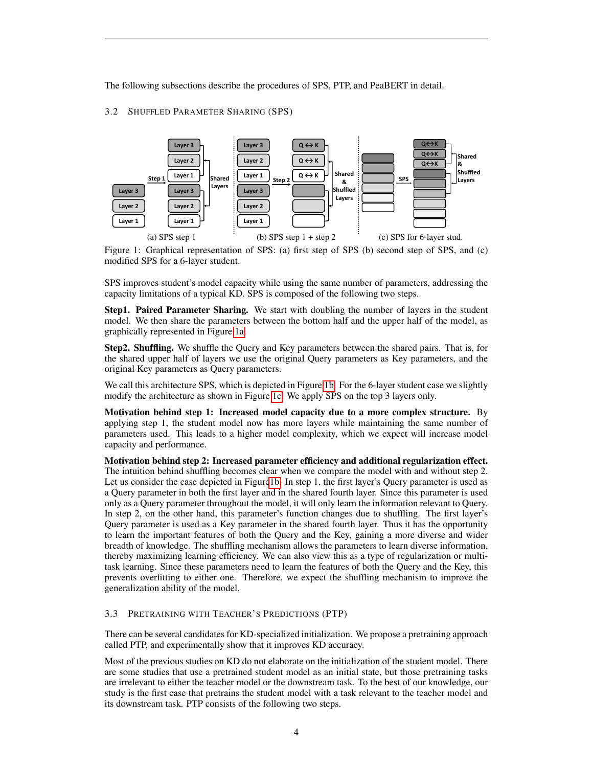The following subsections describe the procedures of SPS, PTP, and PeaBERT in detail.

## <span id="page-3-0"></span>3.2 SHUFFLED PARAMETER SHARING (SPS)

<span id="page-3-2"></span>

Figure 1: Graphical representation of SPS: (a) first step of SPS (b) second step of SPS, and (c) modified SPS for a 6-layer student.

SPS improves student's model capacity while using the same number of parameters, addressing the capacity limitations of a typical KD. SPS is composed of the following two steps.

**Step1. Paired Parameter Sharing.** We start with doubling the number of layers in the student model. We then share the parameters between the bottom half and the upper half of the model, as graphically represented in Figure [1a.](#page-3-2)

Step2. Shuffling. We shuffle the Query and Key parameters between the shared pairs. That is, for the shared upper half of layers we use the original Query parameters as Key parameters, and the original Key parameters as Query parameters.

We call this architecture SPS, which is depicted in Figure [1b.](#page-3-2) For the 6-layer student case we slightly modify the architecture as shown in Figure [1c.](#page-3-2) We apply SPS on the top 3 layers only.

Motivation behind step 1: Increased model capacity due to a more complex structure. By applying step 1, the student model now has more layers while maintaining the same number of parameters used. This leads to a higher model complexity, which we expect will increase model capacity and performance.

Motivation behind step 2: Increased parameter efficiency and additional regularization effect. The intuition behind shuffling becomes clear when we compare the model with and without step 2. Let us consider the case depicted in Figur[e1b.](#page-3-2) In step 1, the first layer's Query parameter is used as a Query parameter in both the first layer and in the shared fourth layer. Since this parameter is used only as a Query parameter throughout the model, it will only learn the information relevant to Query. In step 2, on the other hand, this parameter's function changes due to shuffling. The first layer's Query parameter is used as a Key parameter in the shared fourth layer. Thus it has the opportunity to learn the important features of both the Query and the Key, gaining a more diverse and wider breadth of knowledge. The shuffling mechanism allows the parameters to learn diverse information, thereby maximizing learning efficiency. We can also view this as a type of regularization or multitask learning. Since these parameters need to learn the features of both the Query and the Key, this prevents overfitting to either one. Therefore, we expect the shuffling mechanism to improve the generalization ability of the model.

## <span id="page-3-1"></span>3.3 PRETRAINING WITH TEACHER'S PREDICTIONS (PTP)

There can be several candidates for KD-specialized initialization. We propose a pretraining approach called PTP, and experimentally show that it improves KD accuracy.

Most of the previous studies on KD do not elaborate on the initialization of the student model. There are some studies that use a pretrained student model as an initial state, but those pretraining tasks are irrelevant to either the teacher model or the downstream task. To the best of our knowledge, our study is the first case that pretrains the student model with a task relevant to the teacher model and its downstream task. PTP consists of the following two steps.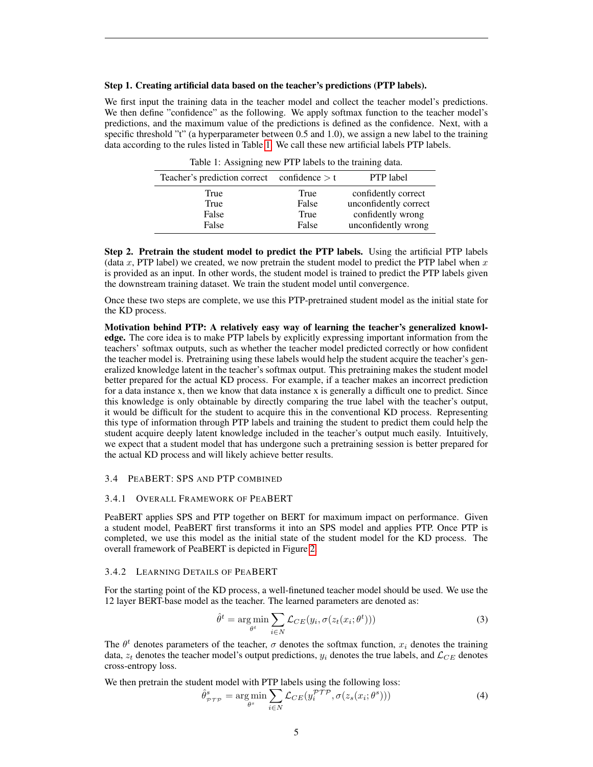### Step 1. Creating artificial data based on the teacher's predictions (PTP labels).

We first input the training data in the teacher model and collect the teacher model's predictions. We then define "confidence" as the following. We apply softmax function to the teacher model's predictions, and the maximum value of the predictions is defined as the confidence. Next, with a specific threshold "t" (a hyperparameter between 0.5 and 1.0), we assign a new label to the training data according to the rules listed in Table [1.](#page-4-1) We call these new artificial labels PTP labels.

Table 1: Assigning new PTP labels to the training data.

<span id="page-4-1"></span>

| Teacher's prediction correct confidence $> t$ |       | <b>PTP</b> label      |
|-----------------------------------------------|-------|-----------------------|
| True                                          | True  | confidently correct   |
| True                                          | False | unconfidently correct |
| False                                         | True  | confidently wrong     |
| False                                         | False | unconfidently wrong   |

Step 2. Pretrain the student model to predict the PTP labels. Using the artificial PTP labels (data x, PTP label) we created, we now pretrain the student model to predict the PTP label when  $x$ is provided as an input. In other words, the student model is trained to predict the PTP labels given the downstream training dataset. We train the student model until convergence.

Once these two steps are complete, we use this PTP-pretrained student model as the initial state for the KD process.

Motivation behind PTP: A relatively easy way of learning the teacher's generalized knowledge. The core idea is to make PTP labels by explicitly expressing important information from the teachers' softmax outputs, such as whether the teacher model predicted correctly or how confident the teacher model is. Pretraining using these labels would help the student acquire the teacher's generalized knowledge latent in the teacher's softmax output. This pretraining makes the student model better prepared for the actual KD process. For example, if a teacher makes an incorrect prediction for a data instance x, then we know that data instance x is generally a difficult one to predict. Since this knowledge is only obtainable by directly comparing the true label with the teacher's output, it would be difficult for the student to acquire this in the conventional KD process. Representing this type of information through PTP labels and training the student to predict them could help the student acquire deeply latent knowledge included in the teacher's output much easily. Intuitively, we expect that a student model that has undergone such a pretraining session is better prepared for the actual KD process and will likely achieve better results.

# <span id="page-4-0"></span>3.4 PEABERT: SPS AND PTP COMBINED

#### 3.4.1 OVERALL FRAMEWORK OF PEABERT

PeaBERT applies SPS and PTP together on BERT for maximum impact on performance. Given a student model, PeaBERT first transforms it into an SPS model and applies PTP. Once PTP is completed, we use this model as the initial state of the student model for the KD process. The overall framework of PeaBERT is depicted in Figure [2.](#page-5-0)

#### 3.4.2 LEARNING DETAILS OF PEABERT

For the starting point of the KD process, a well-finetuned teacher model should be used. We use the 12 layer BERT-base model as the teacher. The learned parameters are denoted as:

$$
\hat{\theta}^t = \underset{\theta^t}{\arg\min} \sum_{i \in N} \mathcal{L}_{CE}(y_i, \sigma(z_t(x_i; \theta^t)))
$$
\n(3)

The  $\theta^t$  denotes parameters of the teacher,  $\sigma$  denotes the softmax function,  $x_i$  denotes the training data,  $z_t$  denotes the teacher model's output predictions,  $y_i$  denotes the true labels, and  $\mathcal{L}_{CE}$  denotes cross-entropy loss.

We then pretrain the student model with PTP labels using the following loss:

$$
\hat{\theta}_{\mathcal{PTP}}^s = \underset{\theta^s}{\text{arg min}} \sum_{i \in N} \mathcal{L}_{CE}(y_i^{\mathcal{PTP}}, \sigma(z_s(x_i; \theta^s))) \tag{4}
$$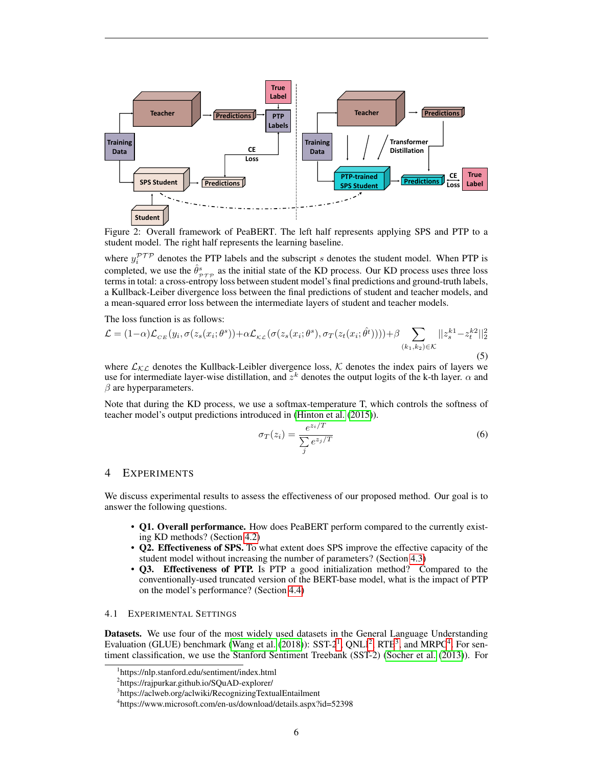<span id="page-5-0"></span>

Figure 2: Overall framework of PeaBERT. The left half represents applying SPS and PTP to a student model. The right half represents the learning baseline.

where  $y_i^{PTP}$  denotes the PTP labels and the subscript s denotes the student model. When PTP is completed, we use the  $\hat{\theta}^s_{\tau\tau\tau}$  as the initial state of the KD process. Our KD process uses three loss terms in total: a cross-entropy loss between student model's final predictions and ground-truth labels, a Kullback-Leiber divergence loss between the final predictions of student and teacher models, and a mean-squared error loss between the intermediate layers of student and teacher models.

The loss function is as follows:

$$
\mathcal{L} = (1 - \alpha) \mathcal{L}_{CE}(y_i, \sigma(z_s(x_i; \theta^s)) + \alpha \mathcal{L}_{\kappa \mathcal{L}}(\sigma(z_s(x_i; \theta^s), \sigma_T(z_t(x_i; \hat{\theta}^t)))) + \beta \sum_{(k_1, k_2) \in \mathcal{K}} ||z_s^{k_1} - z_t^{k_2}||_2^2
$$
\n(5)

where  $\mathcal{L}_{\mathcal{KL}}$  denotes the Kullback-Leibler divergence loss,  $\mathcal K$  denotes the index pairs of layers we use for intermediate layer-wise distillation, and  $z^k$  denotes the output logits of the k-th layer.  $\alpha$  and  $\beta$  are hyperparameters.

Note that during the KD process, we use a softmax-temperature T, which controls the softness of teacher model's output predictions introduced in [\(Hinton et al.](#page-8-8) [\(2015\)](#page-8-8)).

$$
\sigma_T(z_i) = \frac{e^{z_i/T}}{\sum_j e^{z_j/T}}
$$
\n(6)

# 4 EXPERIMENTS

We discuss experimental results to assess the effectiveness of our proposed method. Our goal is to answer the following questions.

- Q1. Overall performance. How does PeaBERT perform compared to the currently existing KD methods? (Section [4.2\)](#page-6-0)
- Q2. Effectiveness of SPS. To what extent does SPS improve the effective capacity of the student model without increasing the number of parameters? (Section [4.3\)](#page-7-0)
- Q3. Effectiveness of PTP. Is PTP a good initialization method? Compared to the conventionally-used truncated version of the BERT-base model, what is the impact of PTP on the model's performance? (Section [4.4\)](#page-7-1)

## 4.1 EXPERIMENTAL SETTINGS

Datasets. We use four of the most widely used datasets in the General Language Understanding Evaluation (GLUE) benchmark [\(Wang et al.](#page-9-3)  $(2018)$ ): SST-2<sup>[1](#page-5-1)</sup>, QNLI<sup>[2](#page-5-2)</sup>, RTE<sup>[3](#page-5-3)</sup>, and MRPC<sup>[4](#page-5-4)</sup>. For sentiment classification, we use the Stanford Sentiment Treebank (SST-2) [\(Socher et al.](#page-9-5) [\(2013\)](#page-9-5)). For

<span id="page-5-1"></span><sup>1</sup> https://nlp.stanford.edu/sentiment/index.html

<span id="page-5-2"></span><sup>2</sup> https://rajpurkar.github.io/SQuAD-explorer/

<span id="page-5-3"></span><sup>&</sup>lt;sup>3</sup>https://aclweb.org/aclwiki/RecognizingTextualEntailment

<span id="page-5-4"></span><sup>4</sup> https://www.microsoft.com/en-us/download/details.aspx?id=52398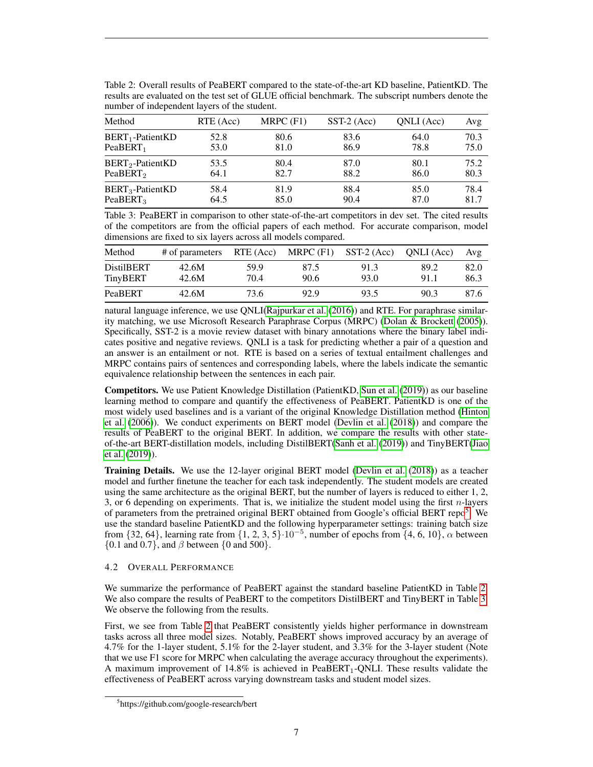| number of independent layers of the student. |           |             |               |            |      |  |  |
|----------------------------------------------|-----------|-------------|---------------|------------|------|--|--|
| Method                                       | RTE (Acc) | $MRPC$ (F1) | $SST-2$ (Acc) | ONLI (Acc) | Avg  |  |  |
| $BERT_1$ -PatientKD                          | 52.8      | 80.6        | 83.6          | 64.0       | 70.3 |  |  |
| PeaBERT <sub>1</sub>                         | 53.0      | 81.0        | 86.9          | 78.8       | 75.0 |  |  |
| $BERT2 - PatientKD$                          | 53.5      | 80.4        | 87.0          | 80.1       | 75.2 |  |  |
| PeaBERT <sub>2</sub>                         | 64.1      | 82.7        | 88.2          | 86.0       | 80.3 |  |  |
| $BERT3 - PatientKD$                          | 58.4      | 81.9        | 88.4          | 85.0       | 78.4 |  |  |
| PeaBERT <sub>3</sub>                         | 64.5      | 85.0        | 90.4          | 87.0       | 81.7 |  |  |

<span id="page-6-2"></span>Table 2: Overall results of PeaBERT compared to the state-of-the-art KD baseline, PatientKD. The results are evaluated on the test set of GLUE official benchmark. The subscript numbers denote the

<span id="page-6-3"></span>Table 3: PeaBERT in comparison to other state-of-the-art competitors in dev set. The cited results of the competitors are from the official papers of each method. For accurate comparison, model dimensions are fixed to six layers across all models compared.

| Method                        | $#$ of parameters RTE (Acc) MRPC (F1) |              |              | SST-2 (Acc)  | ONLI (Acc)   | Avg          |
|-------------------------------|---------------------------------------|--------------|--------------|--------------|--------------|--------------|
| <b>DistilBERT</b><br>TinyBERT | 42.6M<br>42.6M                        | 59.9<br>70.4 | 87.5<br>90.6 | 91.3<br>93.0 | 89.2<br>91.1 | 82.0<br>86.3 |
| PeaBERT                       | 42.6M                                 | 73.6         | 92.9         | 93.5         | 90.3         | 87.6         |

natural language inference, we use QNLI[\(Rajpurkar et al.](#page-8-5) [\(2016\)](#page-8-5)) and RTE. For paraphrase similarity matching, we use Microsoft Research Paraphrase Corpus (MRPC) [\(Dolan & Brockett](#page-8-10) [\(2005\)](#page-8-10)). Specifically, SST-2 is a movie review dataset with binary annotations where the binary label indicates positive and negative reviews. QNLI is a task for predicting whether a pair of a question and an answer is an entailment or not. RTE is based on a series of textual entailment challenges and MRPC contains pairs of sentences and corresponding labels, where the labels indicate the semantic equivalence relationship between the sentences in each pair.

Competitors. We use Patient Knowledge Distillation (PatientKD, [Sun et al.](#page-9-0) [\(2019\)](#page-9-0)) as our baseline learning method to compare and quantify the effectiveness of PeaBERT. PatientKD is one of the most widely used baselines and is a variant of the original Knowledge Distillation method [\(Hinton](#page-8-0) [et al.](#page-8-0) [\(2006\)](#page-8-0)). We conduct experiments on BERT model [\(Devlin et al.](#page-8-2) [\(2018\)](#page-8-2)) and compare the results of PeaBERT to the original BERT. In addition, we compare the results with other stateof-the-art BERT-distillation models, including DistilBERT[\(Sanh et al.](#page-8-9) [\(2019\)](#page-8-9)) and TinyBERT[\(Jiao](#page-8-1) [et al.](#page-8-1) [\(2019\)](#page-8-1)).

**Training Details.** We use the 12-layer original BERT model [\(Devlin et al.](#page-8-2) [\(2018\)](#page-8-2)) as a teacher model and further finetune the teacher for each task independently. The student models are created using the same architecture as the original BERT, but the number of layers is reduced to either 1, 2, 3, or 6 depending on experiments. That is, we initialize the student model using the first  $n$ -layers of parameters from the pretrained original BERT obtained from Google's official BERT repo<sup>[5](#page-6-1)</sup>. We use the standard baseline PatientKD and the following hyperparameter settings: training batch size from  $\{32, 64\}$ , learning rate from  $\{1, 2, 3, 5\}\cdot 10^{-5}$ , number of epochs from  $\{4, 6, 10\}$ ,  $\alpha$  between  $\{0.1 \text{ and } 0.7\}$ , and  $\beta$  between  $\{0 \text{ and } 500\}$ .

# <span id="page-6-0"></span>4.2 OVERALL PERFORMANCE

We summarize the performance of PeaBERT against the standard baseline PatientKD in Table [2.](#page-6-2) We also compare the results of PeaBERT to the competitors DistilBERT and TinyBERT in Table [3.](#page-6-3) We observe the following from the results.

First, we see from Table [2](#page-6-2) that PeaBERT consistently yields higher performance in downstream tasks across all three model sizes. Notably, PeaBERT shows improved accuracy by an average of 4.7% for the 1-layer student, 5.1% for the 2-layer student, and 3.3% for the 3-layer student (Note that we use F1 score for MRPC when calculating the average accuracy throughout the experiments). A maximum improvement of  $14.8\%$  is achieved in PeaBERT<sub>1</sub>-QNLI. These results validate the effectiveness of PeaBERT across varying downstream tasks and student model sizes.

<span id="page-6-1"></span><sup>5</sup> https://github.com/google-research/bert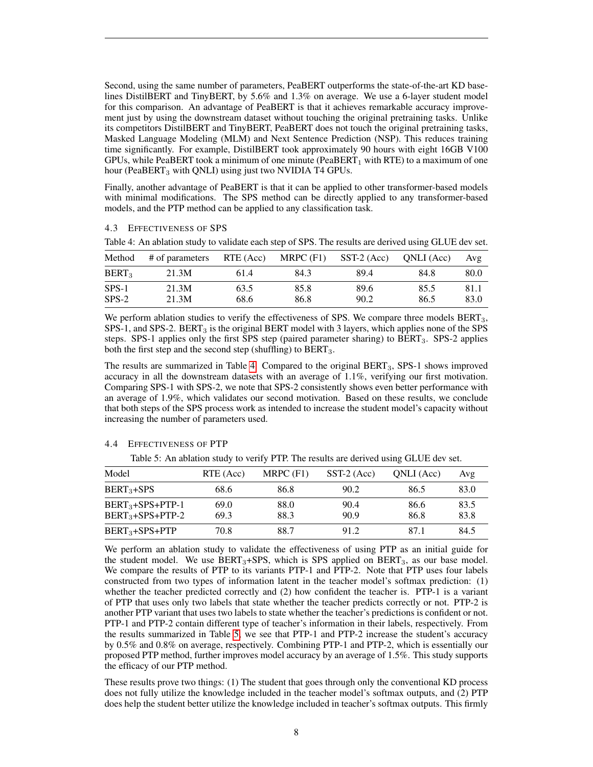Second, using the same number of parameters, PeaBERT outperforms the state-of-the-art KD baselines DistilBERT and TinyBERT, by 5.6% and 1.3% on average. We use a 6-layer student model for this comparison. An advantage of PeaBERT is that it achieves remarkable accuracy improvement just by using the downstream dataset without touching the original pretraining tasks. Unlike its competitors DistilBERT and TinyBERT, PeaBERT does not touch the original pretraining tasks, Masked Language Modeling (MLM) and Next Sentence Prediction (NSP). This reduces training time significantly. For example, DistilBERT took approximately 90 hours with eight 16GB V100 GPUs, while PeaBERT took a minimum of one minute (PeaBERT<sub>1</sub> with RTE) to a maximum of one hour (PeaBERT $_3$  with QNLI) using just two NVIDIA T4 GPUs.

Finally, another advantage of PeaBERT is that it can be applied to other transformer-based models with minimal modifications. The SPS method can be directly applied to any transformer-based models, and the PTP method can be applied to any classification task.

## <span id="page-7-0"></span>4.3 EFFECTIVENESS OF SPS

| Method            | # of parameters | RTE (Acc) | MRPC $(F1)$ | $SST-2$ (Acc) | ONLI (Acc) | Avg  |
|-------------------|-----------------|-----------|-------------|---------------|------------|------|
| BERT <sub>3</sub> | 21.3M           | 61.4      | 84.3        | 89.4          | 84.8       | 80.0 |
| $SPS-1$           | 21.3M           | 63.5      | 85.8        | 89.6          | 85.5       | 81.1 |
| $SPS-2$           | 21.3M           | 68.6      | 86.8        | 90.2          | 86.5       | 83.0 |

<span id="page-7-2"></span>Table 4: An ablation study to validate each step of SPS. The results are derived using GLUE dev set.

We perform ablation studies to verify the effectiveness of SPS. We compare three models BERT<sub>3</sub>,  $SPS-1$ , and  $SPS-2$ .  $BERT<sub>3</sub>$  is the original BERT model with 3 layers, which applies none of the SPS steps. SPS-1 applies only the first SPS step (paired parameter sharing) to BERT<sub>3</sub>. SPS-2 applies both the first step and the second step (shuffling) to  $BERT_3$ .

The results are summarized in Table [4.](#page-7-2) Compared to the original BERT3, SPS-1 shows improved accuracy in all the downstream datasets with an average of 1.1%, verifying our first motivation. Comparing SPS-1 with SPS-2, we note that SPS-2 consistently shows even better performance with an average of 1.9%, which validates our second motivation. Based on these results, we conclude that both steps of the SPS process work as intended to increase the student model's capacity without increasing the number of parameters used.

# <span id="page-7-3"></span><span id="page-7-1"></span>4.4 EFFECTIVENESS OF PTP

Table 5: An ablation study to verify PTP. The results are derived using GLUE dev set.

| Model                                  | RTE (Acc)    | $MRPC$ (F1)  | $SST-2$ (Acc) | ONLI (Acc)   | Avg          |
|----------------------------------------|--------------|--------------|---------------|--------------|--------------|
| $BERT3+SPS$                            | 68.6         | 86.8         | 90.2          | 86.5         | 83.0         |
| $BERT3+SPS+PTP-1$<br>$BERT3+SPS+PTP-2$ | 69.0<br>69.3 | 88.0<br>88.3 | 90.4<br>90.9  | 86.6<br>86.8 | 83.5<br>83.8 |
| $BERT3+SPS+PTP$                        | 70.8         | 88.7         | 91.2          | 871          | 84.5         |

We perform an ablation study to validate the effectiveness of using PTP as an initial guide for the student model. We use  $BERT<sub>3</sub>+SPS$ , which is SPS applied on  $BERT<sub>3</sub>$ , as our base model. We compare the results of PTP to its variants PTP-1 and PTP-2. Note that PTP uses four labels constructed from two types of information latent in the teacher model's softmax prediction: (1) whether the teacher predicted correctly and (2) how confident the teacher is. PTP-1 is a variant of PTP that uses only two labels that state whether the teacher predicts correctly or not. PTP-2 is another PTP variant that uses two labels to state whether the teacher's predictions is confident or not. PTP-1 and PTP-2 contain different type of teacher's information in their labels, respectively. From the results summarized in Table [5,](#page-7-3) we see that PTP-1 and PTP-2 increase the student's accuracy by 0.5% and 0.8% on average, respectively. Combining PTP-1 and PTP-2, which is essentially our proposed PTP method, further improves model accuracy by an average of 1.5%. This study supports the efficacy of our PTP method.

These results prove two things: (1) The student that goes through only the conventional KD process does not fully utilize the knowledge included in the teacher model's softmax outputs, and (2) PTP does help the student better utilize the knowledge included in teacher's softmax outputs. This firmly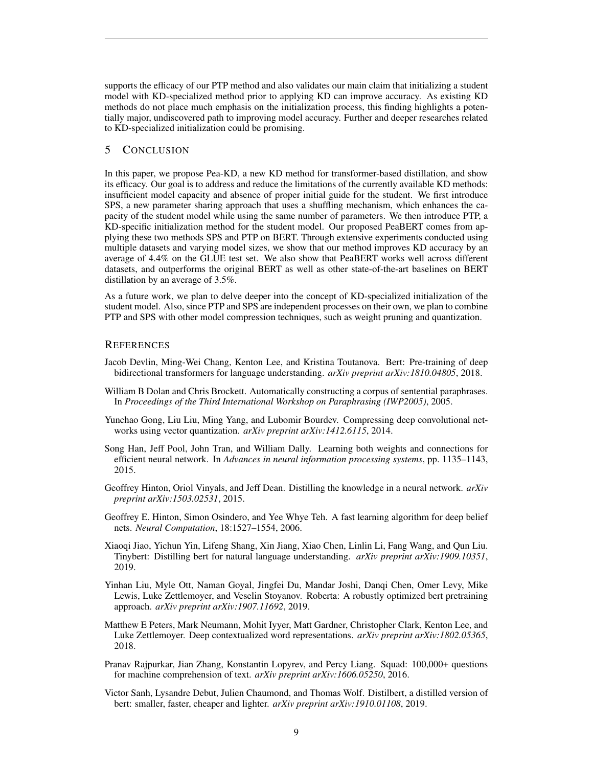supports the efficacy of our PTP method and also validates our main claim that initializing a student model with KD-specialized method prior to applying KD can improve accuracy. As existing KD methods do not place much emphasis on the initialization process, this finding highlights a potentially major, undiscovered path to improving model accuracy. Further and deeper researches related to KD-specialized initialization could be promising.

## 5 CONCLUSION

In this paper, we propose Pea-KD, a new KD method for transformer-based distillation, and show its efficacy. Our goal is to address and reduce the limitations of the currently available KD methods: insufficient model capacity and absence of proper initial guide for the student. We first introduce SPS, a new parameter sharing approach that uses a shuffling mechanism, which enhances the capacity of the student model while using the same number of parameters. We then introduce PTP, a KD-specific initialization method for the student model. Our proposed PeaBERT comes from applying these two methods SPS and PTP on BERT. Through extensive experiments conducted using multiple datasets and varying model sizes, we show that our method improves KD accuracy by an average of 4.4% on the GLUE test set. We also show that PeaBERT works well across different datasets, and outperforms the original BERT as well as other state-of-the-art baselines on BERT distillation by an average of 3.5%.

As a future work, we plan to delve deeper into the concept of KD-specialized initialization of the student model. Also, since PTP and SPS are independent processes on their own, we plan to combine PTP and SPS with other model compression techniques, such as weight pruning and quantization.

# **REFERENCES**

- <span id="page-8-2"></span>Jacob Devlin, Ming-Wei Chang, Kenton Lee, and Kristina Toutanova. Bert: Pre-training of deep bidirectional transformers for language understanding. *arXiv preprint arXiv:1810.04805*, 2018.
- <span id="page-8-10"></span>William B Dolan and Chris Brockett. Automatically constructing a corpus of sentential paraphrases. In *Proceedings of the Third International Workshop on Paraphrasing (IWP2005)*, 2005.
- <span id="page-8-6"></span>Yunchao Gong, Liu Liu, Ming Yang, and Lubomir Bourdev. Compressing deep convolutional networks using vector quantization. *arXiv preprint arXiv:1412.6115*, 2014.
- <span id="page-8-7"></span>Song Han, Jeff Pool, John Tran, and William Dally. Learning both weights and connections for efficient neural network. In *Advances in neural information processing systems*, pp. 1135–1143, 2015.
- <span id="page-8-8"></span>Geoffrey Hinton, Oriol Vinyals, and Jeff Dean. Distilling the knowledge in a neural network. *arXiv preprint arXiv:1503.02531*, 2015.
- <span id="page-8-0"></span>Geoffrey E. Hinton, Simon Osindero, and Yee Whye Teh. A fast learning algorithm for deep belief nets. *Neural Computation*, 18:1527–1554, 2006.
- <span id="page-8-1"></span>Xiaoqi Jiao, Yichun Yin, Lifeng Shang, Xin Jiang, Xiao Chen, Linlin Li, Fang Wang, and Qun Liu. Tinybert: Distilling bert for natural language understanding. *arXiv preprint arXiv:1909.10351*, 2019.
- <span id="page-8-3"></span>Yinhan Liu, Myle Ott, Naman Goyal, Jingfei Du, Mandar Joshi, Danqi Chen, Omer Levy, Mike Lewis, Luke Zettlemoyer, and Veselin Stoyanov. Roberta: A robustly optimized bert pretraining approach. *arXiv preprint arXiv:1907.11692*, 2019.
- <span id="page-8-4"></span>Matthew E Peters, Mark Neumann, Mohit Iyyer, Matt Gardner, Christopher Clark, Kenton Lee, and Luke Zettlemoyer. Deep contextualized word representations. *arXiv preprint arXiv:1802.05365*, 2018.
- <span id="page-8-5"></span>Pranav Rajpurkar, Jian Zhang, Konstantin Lopyrev, and Percy Liang. Squad: 100,000+ questions for machine comprehension of text. *arXiv preprint arXiv:1606.05250*, 2016.
- <span id="page-8-9"></span>Victor Sanh, Lysandre Debut, Julien Chaumond, and Thomas Wolf. Distilbert, a distilled version of bert: smaller, faster, cheaper and lighter. *arXiv preprint arXiv:1910.01108*, 2019.